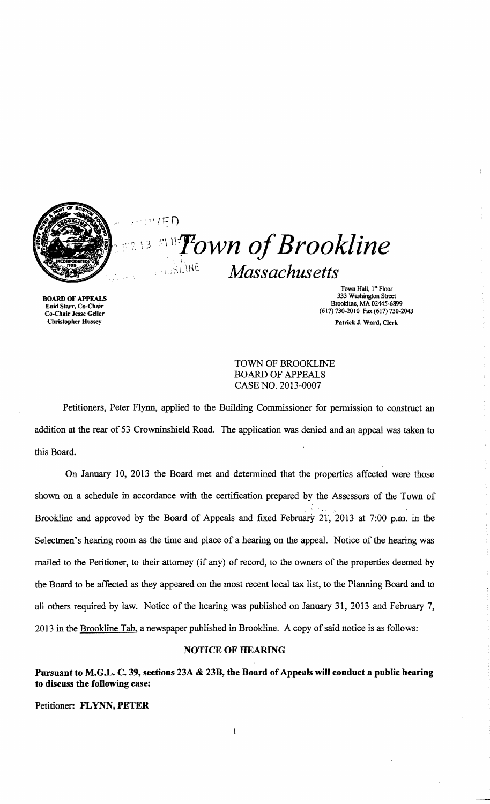

# $\cdots$   $\Gamma$ **Town of Brookline**  $\, \frac{1}{2}$  13  $1.5KLME$ **Massachusetts**

Town Hall, 1st Floor **333 Washington Street**<br> **Enid Starr, Co-Chair**<br> **Enid Starr, Co-Chair**<br> **Enid Starr**, Co-Chair<br> **Enid Starr**, Co-Chair Brookline, Martine, Martine, Martine, Martine, Martine, Martine, Martine, Martine, Martine, Martine, Martine, M<br>Co-Chair Jesse Geller<br>Christopher Hussey Christopher Hussey Patrick J. Ward, Clerk

> TOWN OF BROOKLINE BOARD OF APPEALS CASE NO. 2013-0007

Petitioners, Peter Flynn, applied to the Building Commissioner for permission to construct an addition at the rear of 53 Crowninshield Road. The application was denied and an appeal was taken to this Board.

On January 10, 2013 the Board met and detennined that the properties affected were those shown on a schedule in accordance with the certification prepared by the Assessors of the Town of Brookline and approved by the Board of Appeals and fixed February 21, 2013 at 7:00 p.m. in the Selectmen's hearing room as the time and place of a hearing on the appeal. Notice of the hearing was mailed to the Petitioner, to their attorney (if any) of record, to the owners of the properties deemed by the Board to be affected as they appeared on the most recent local tax list, to the Planning Board and to all others required by law. Notice of the hearing was published on January 31,2013 and February 7, 2013 in the Brookline Tab, a newspaper published in Brookline. A copy of said notice is as follows:

# NOTICE OF HEARING

Pursuant to M.G.L. C. 39, sections 23A & 23B, the Board of Appeals will conduct a public hearing to discuss the following case:

Petitioner: FLYNN, PETER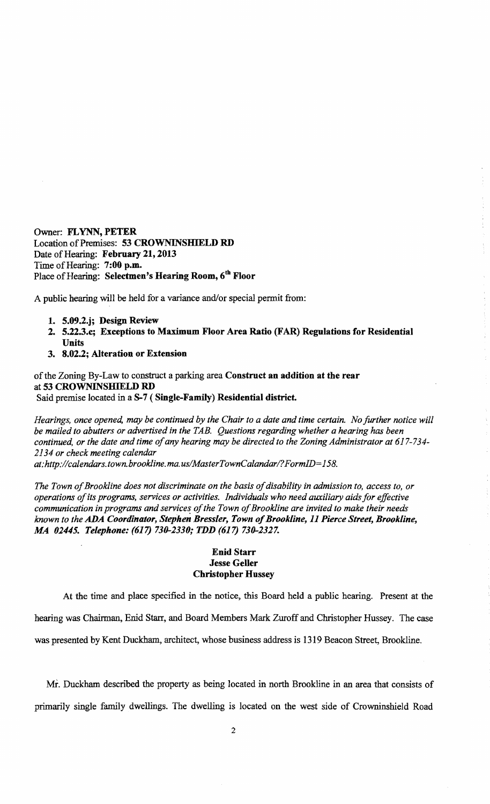Owner: **FLYNN, PETER**  Location of Premises: 53 CROWNINSHIELD RD Date of Hearing: **February 21, 2013** Time of Hearing: 7:00 p.m. Place of Hearing: Selectmen's Hearing Room, 6<sup>th</sup> Floor

A public hearing will be held for a variance and/or special permit from:

- **1. 5.09.2.j; Design Review**
- **2. 5.22.3.c; Exceptions to Maximum Floor Area Ratio (FAR) Regulations for Residential Units**
- **3. 8.02.2; Alteration or Extension**

ofthe Zoning By-Law to construct a parking area **Construct an addition at the rear**  at 53 CROWNINSHIELD RD Said premise located in a **8-7 ( Single-Family) Residential district.** 

*Hearings, once opened, may be continued by the Chair to a date and time certain. No further notice will be mailed to abutters or advertised in the TAB. Questions regarding whether a hearing has been*  continued, or the date and time of any hearing may be directed to the Zoning Administrator at 617-734-*2134 or check meeting calendar* 

*at:http://calendars.town. brookline. ma. uslMasterTownCalandarl?FormID=158.* 

The Town of Brookline does not discriminate on the basis of disability in admission to, access to, or *operations ofits programs, services or activities. Individuals who need auxiliary aids for effective*  communication in programs and services of the Town of Brookline are invited to make their needs *known to the ADA Coordinator, Stephen Bressler, Town of Brookline, 11 Pierce Street, Brookline,* **.M4** *02445. Telephone:* **(617)** *730-2330; TDD* **(617)** *730-2327.* 

# **Enid Starr Jesse Geller Christopher Hussey**

At the time and place specified in the notice, this Board held a public hearing. Present at the hearing was Chairman, Enid Starr, and Board Members Mark Zuroff and Christopher Hussey. The case was presented by Kent Duckham, architect, whose business address is 1319 Beacon Street, Brookline.

Mi. Duckham described the property as being located in north Brookline in an area that consists of primarily single family dwellings. The dwelling is located on the west side of Crowninshield Road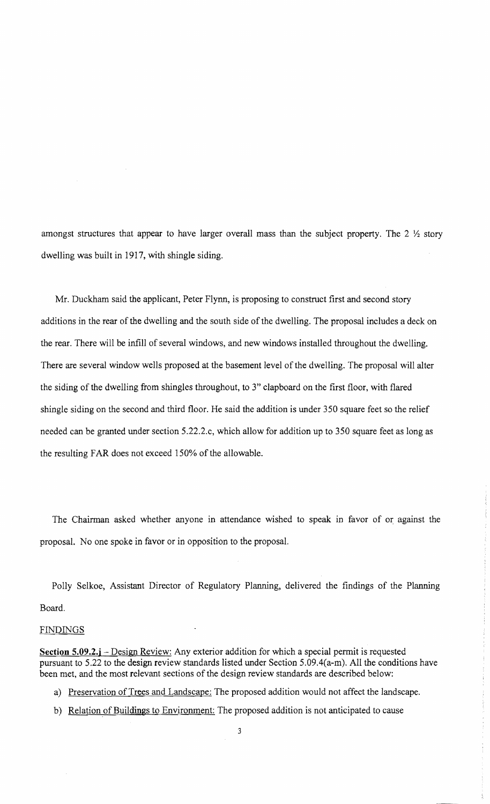amongst structures that appear to have larger overall mass than the subject property. The  $2 \frac{1}{2}$  story dwelling was built in 1917, with shingle siding.

Mr. Duckham said the applicant, Peter Flynn, is proposing to construct first and second story additions in the rear of the dwelling and the south side of the dwelling. The proposal includes a deck on the rear. There will be infill of several windows, and new windows installed throughout the dwelling. There are several window wells proposed at the basement level of the dwelling. The proposal will alter the siding of the dwelling from shingles throughout, to 3" clapboard on the first floor, with flared shingle siding on the second and third floor. He said the addition is under 350 square feet so the relief needed can be granted under section 5.22.2.c, which allow for addition up to 350 square feet as long as the resulting FAR does not exceed 150% of the allowable.

The Chairman asked whether anyone in attendance wished to speak in favor of or against the proposal. No one spoke in favor or in opposition to the proposal.

Polly Selkoe, Assistant Director of Regulatory Planning, delivered the findings of the Planning Board.

#### FINDINGS

**Section 5.09.2.j** – Design Review: Any exterior addition for which a special permit is requested pursuant to 5.22 to the design review standards listed under Section 5.09.4(a-m). All the conditions have been met, and the most relevant sections of the design review standards are described below:

- a) Preservation of Trees and Landscape: The proposed addition would not affect the landscape.
- b) Relation of Buildings to Environment: The proposed addition is not anticipated to cause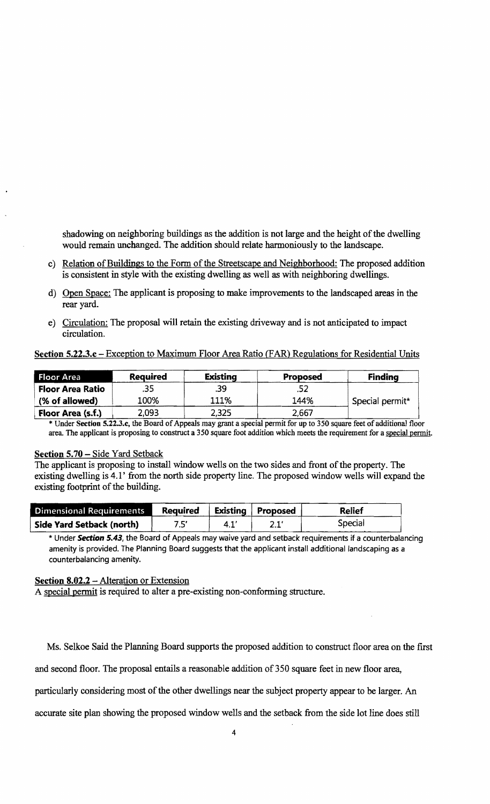shadowing on neighboring buildings as the addition is not large and the height of the dwelling would remain unchanged. The addition should relate harmoniously to the landscape.

- c) Relation of Buildings to the Form of the Streetscape and Neighborhood: The proposed addition is consistent in style with the existing dwelling as well as with neighboring dwellings.
- d) Open Space: The applicant is proposing to make improvements to the landscaped areas in the rear yard.
- e) Circulation: The proposal will retain the existing driveway and is not anticipated to impact circulation.

### Section 5.22.3.c – Exception to Maximum Floor Area Ratio (FAR) Regulations for Residential Units

| Floor Area              | <b>Required</b> | <b>Existing</b> | <b>Proposed</b> | <b>Finding</b>  |
|-------------------------|-----------------|-----------------|-----------------|-----------------|
| <b>Floor Area Ratio</b> | .35             | .39             | .52             |                 |
| (% of allowed)          | 100%            | 111%            | 144%            | Special permit* |
| Floor Area (s.f.)       | 2,093           | 2,325           | 2.667           |                 |

\* Under Section 5.22.3.c, the Board of Appeals may grant a special permit for up to 350 square feet of additional floor area. The applicant is proposing to construct a 350 square foot addition which meets the requirement for a special permit.

### Section **5.70** - Side Yard Setback

The applicant is proposing to install window wells on the two sides and front of the property. The existing dwelling is 4.1' from the north side property line. The proposed window wells will expand the existing footprint of the building.

| <b>Dimensional Requirements</b> | <b>Required</b> |     | <b>Existing Proposed</b> | <b>Relief</b> |
|---------------------------------|-----------------|-----|--------------------------|---------------|
| Side Yard Setback (north)       | 7.5'            | 4.1 |                          | Special       |

\* Under **Section** 5.43, the Board of Appeals may waive yard and setback requirements if a counterbalancing amenity is provided. The Planning Board suggests that the applicant install additional landscaping as a counterbalancing amenity.

# Section 8.02.2 - Alteration or Extension

A special permit is required to alter a pre~existing non-conforming structure.

Ms. Selkoe Said the Planning Board supports the proposed addition to construct floor area on the first

and second floor. The proposal entails a reasonable addition of 350 square feet in new floor area,

particularly considering most of the other dwellings near the subject property appear to be larger. An

accurate site plan showing the proposed window wells and the setback from the side lot line does still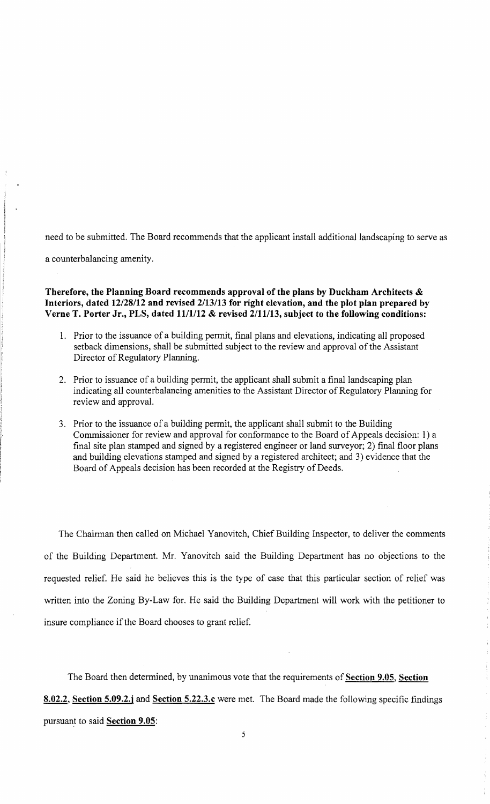need to be submitted. The Board recommends that the applicant install additional landscaping to serve as

a counterbalancing amenity.

# **Therefore, the Planning Board recommends approval of the plans by Duckham Architects & Interiors, dated 12/28112 and revised** 2113113 **for right elevation, and the plot plan prepared by Verne T. Porter Jr., PLS, dated 1111112 & revised 2/11113, subject to the following conditions:**

- 1. Prior to the issuance of a building permit, final plans and elevations, indicating all proposed setback dimensions, shall be submitted subject to the review and approval of the Assistant Director of Regulatory Planning.
- 2. Prior to issuance of a building permit, the applicant shall submit a final landscaping plan indicating all counterbalancing amenities to the Assistant Director of Regulatory Planning for review and approvaL
- 3. Prior to the issuance of a building permit, the applicant shall submit to the Building Commissioner for review and approval for conformance to the Board of Appeals decision: 1) a final site plan stamped and signed by a registered engineer or land surveyor; 2) final floor plans and building elevations stamped and signed by a registered architect; and 3) evidence that the Board of Appeals decision has been recorded at the Registry of Deeds.

The Chairman then called on Michael Yanovitch, Chief Building Inspector, to deliver the comments of the Building Department. Mr. Yanovitch said the Building Department has no objections to the requested relief. He said he believes this is the type of case that this particular section of relief was written into the Zoning By-Law for. He said the Building Department will work with the petitioner to insure compliance if the Board chooses to grant relief.

The Board then determined, by unanimous vote that the requirements of **Section 9.05, Section 8.02.2, Section 5.09.2.j and Section 5.22.3.c** were met. The Board made the following specific findings pursuant to said **Section 9.05:**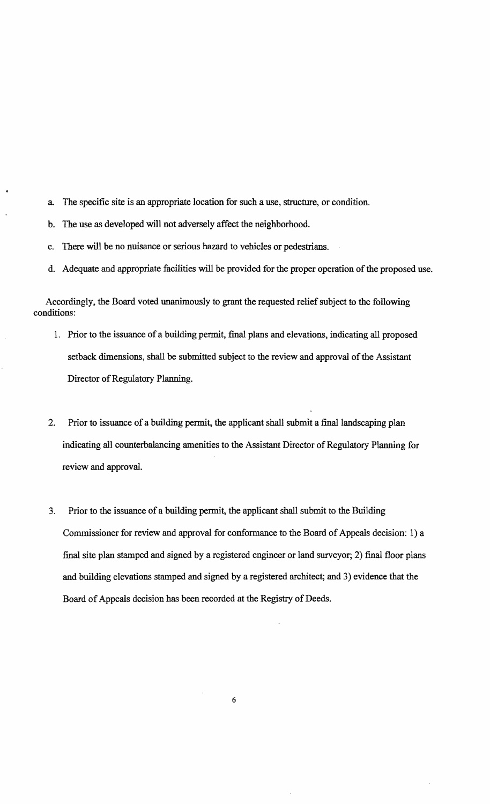- a. The specific site is an appropriate location for such a use, structure, or condition.
- b. The use as developed will not adversely affect the neighborhood.
- c. There will be no nuisance or serious hazard to vehicles or pedestrians.
- d. Adequate and appropriate facilities will be provided for the proper operation of the proposed use.

Accordingly, the Board voted unanimously to grant the requested relief subject to the following conditions:

- 1. Prior to the issuance of a building permit, final plans and elevations, indicating all proposed setback dimensions, shall be submitted subject to the review and approval of the Assistant Director of Regulatory Planning.
- 2. Prior to issuance of a building permit, the applicant shall submit a final landscaping plan indicating all counterbalancing amenities to the Assistant Director of Regulatory Planning for review and approval.
- 3. Prior to the issuance of a building permit, the applicant shall submit to the Building Commissioner for review and approval for conformance to the Board of Appeals decision: 1) a final site plan stamped and signed by a registered engineer or land surveyor; 2) final floor plans and building elevations stamped and signed by a registered architect; and 3) evidence that the Board of Appeals decision has been recorded at the Registry of Deeds.

6